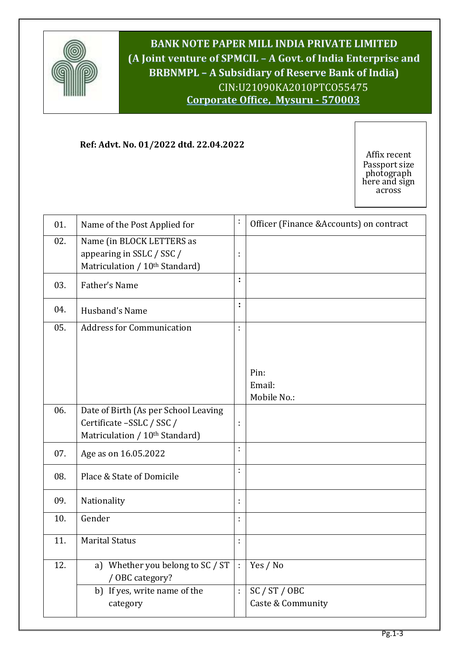

**BANK NOTE PAPER MILL INDIA PRIVATE LIMITED (A Joint venture of SPMCIL – A Govt. of India Enterprise and BRBNMPL – A Subsidiary of Reserve Bank of India)** CIN:U21090KA2010PTCO55475 **Corporate Office, Mysuru - 570003**

**Bangalore 560 029Corporate Office, Bangalore 560 029**

**Ref: Advt. No. 01/2022 dtd. 22.04.2022**

Affix recent Passport size photograph here and sign across

| 01. | Name of the Post Applied for                                                             | ÷                    | Officer (Finance &Accounts) on contract |
|-----|------------------------------------------------------------------------------------------|----------------------|-----------------------------------------|
| 02. | Name (in BLOCK LETTERS as<br>appearing in SSLC / SSC /<br>Matriculation / 10th Standard) | ÷                    |                                         |
| 03. | Father's Name                                                                            | ţ.                   |                                         |
| 04. | Husband's Name                                                                           | ÷                    |                                         |
| 05. | <b>Address for Communication</b>                                                         | ÷                    |                                         |
|     |                                                                                          |                      |                                         |
|     |                                                                                          |                      | Pin:                                    |
|     |                                                                                          |                      | Email:<br>Mobile No.:                   |
| 06. | Date of Birth (As per School Leaving<br>Certificate -SSLC / SSC /                        | t                    |                                         |
|     | Matriculation / 10th Standard)                                                           | ÷                    |                                         |
| 07. | Age as on 16.05.2022                                                                     |                      |                                         |
| 08. | Place & State of Domicile                                                                | ÷                    |                                         |
| 09. | Nationality                                                                              | t                    |                                         |
| 10. | Gender                                                                                   | ÷                    |                                         |
| 11. | <b>Marital Status</b>                                                                    | ÷                    |                                         |
| 12. | a) Whether you belong to SC / ST<br>/ OBC category?                                      | $\ddot{\phantom{a}}$ | Yes / No                                |
|     | b) If yes, write name of the                                                             | ÷                    | SC / ST / OBC                           |
|     | category                                                                                 |                      | Caste & Community                       |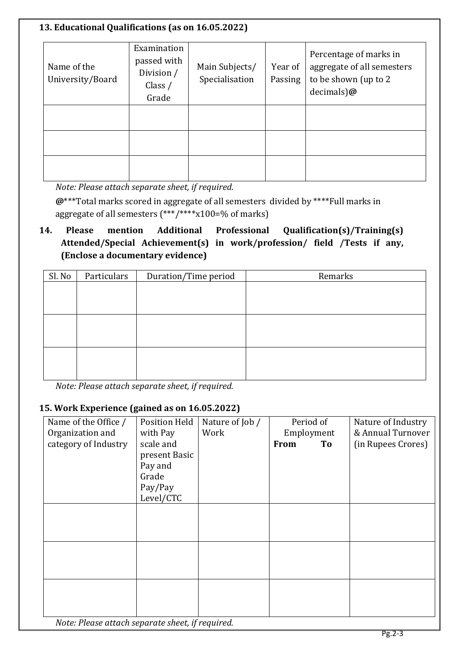## **13. Educational Qualifications (as on 16.05.2022)** Name of the University/Board Examination passed with Division / Class / Grade Main Subjects/ Specialisation Year of Passing Percentage of marks in aggregate of all semesters to be shown (up to 2 decimals)**@**

*Note: Please attach separate sheet, if required.*

**@**\*\*\*Total marks scored in aggregate of all semesters divided by \*\*\*\*Full marks in aggregate of all semesters (\*\*\*/\*\*\*\*x100=% of marks)

## **14. Please mention Additional Professional Qualification(s)/Training(s) Attended/Special Achievement(s) in work/profession/ field /Tests if any, (Enclose a documentary evidence)**

| Sl. No | Particulars<br>Duration/Time period |  | Remarks |  |
|--------|-------------------------------------|--|---------|--|
|        |                                     |  |         |  |
|        |                                     |  |         |  |
|        |                                     |  |         |  |
|        |                                     |  |         |  |
|        |                                     |  |         |  |
|        |                                     |  |         |  |
|        |                                     |  |         |  |
|        |                                     |  |         |  |

*Note: Please attach separate sheet, if required.*

## **15. Work Experience (gained as on 16.05.2022)**

| Name of the Office /<br>Organization and | <b>Position Held</b>  | Nature of Job /<br>Work | Period of                       | Nature of Industry<br>& Annual Turnover |
|------------------------------------------|-----------------------|-------------------------|---------------------------------|-----------------------------------------|
| category of Industry                     | with Pay<br>scale and |                         | Employment<br><b>From</b><br>To | (in Rupees Crores)                      |
|                                          | present Basic         |                         |                                 |                                         |
|                                          | Pay and               |                         |                                 |                                         |
|                                          | Grade                 |                         |                                 |                                         |
|                                          | Pay/Pay<br>Level/CTC  |                         |                                 |                                         |
|                                          |                       |                         |                                 |                                         |
|                                          |                       |                         |                                 |                                         |
|                                          |                       |                         |                                 |                                         |
|                                          |                       |                         |                                 |                                         |
|                                          |                       |                         |                                 |                                         |
|                                          |                       |                         |                                 |                                         |
|                                          |                       |                         |                                 |                                         |
|                                          |                       |                         |                                 |                                         |

*Note: Please attach separate sheet, if required.*